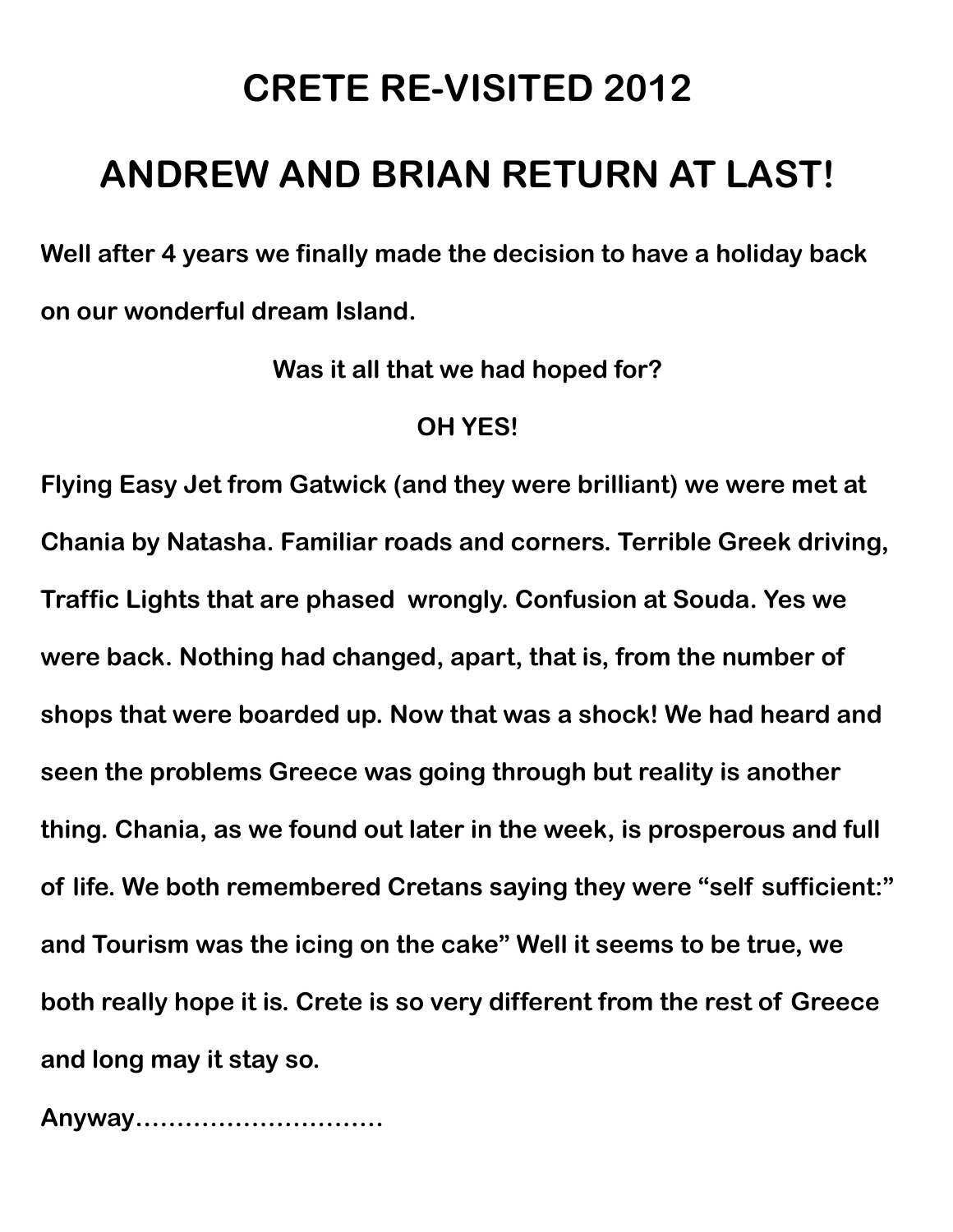## **CRETE RE-VISITED 2012**

## **ANDREW AND BRIAN RETURN AT LAST!**

**Well after 4 years we finally made the decision to have a holiday back on our wonderful dream Island.** 

**Was it all that we had hoped for?**

## **OH YES!**

**Flying Easy Jet from Gatwick (and they were brilliant) we were met at Chania by Natasha. Familiar roads and corners. Terrible Greek driving, Traffic Lights that are phased wrongly. Confusion at Souda. Yes we were back. Nothing had changed, apart, that is, from the number of shops that were boarded up. Now that was a shock! We had heard and seen the problems Greece was going through but reality is another thing. Chania, as we found out later in the week, is prosperous and full of life. We both remembered Cretans saying they were "self sufficient:" and Tourism was the icing on the cake" Well it seems to be true, we both really hope it is. Crete is so very different from the rest of Greece and long may it stay so.**

**Anyway…………………………**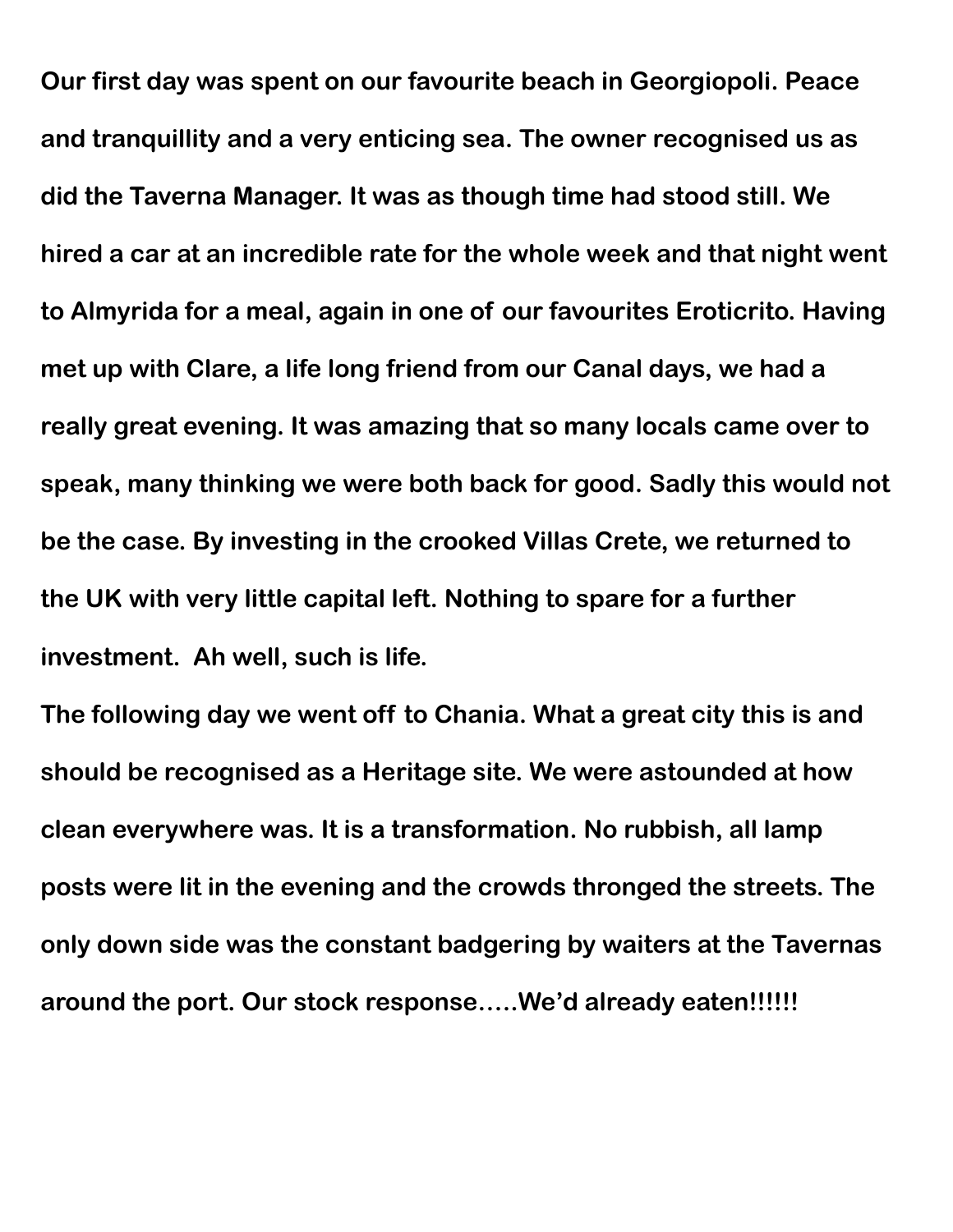**Our first day was spent on our favourite beach in Georgiopoli. Peace and tranquillity and a very enticing sea. The owner recognised us as did the Taverna Manager. It was as though time had stood still. We hired a car at an incredible rate for the whole week and that night went to Almyrida for a meal, again in one of our favourites Eroticrito. Having met up with Clare, a life long friend from our Canal days, we had a really great evening. It was amazing that so many locals came over to speak, many thinking we were both back for good. Sadly this would not be the case. By investing in the crooked Villas Crete, we returned to the UK with very little capital left. Nothing to spare for a further investment. Ah well, such is life.** 

**The following day we went off to Chania. What a great city this is and should be recognised as a Heritage site. We were astounded at how clean everywhere was. It is a transformation. No rubbish, all lamp posts were lit in the evening and the crowds thronged the streets. The only down side was the constant badgering by waiters at the Tavernas around the port. Our stock response…..We'd already eaten!!!!!!**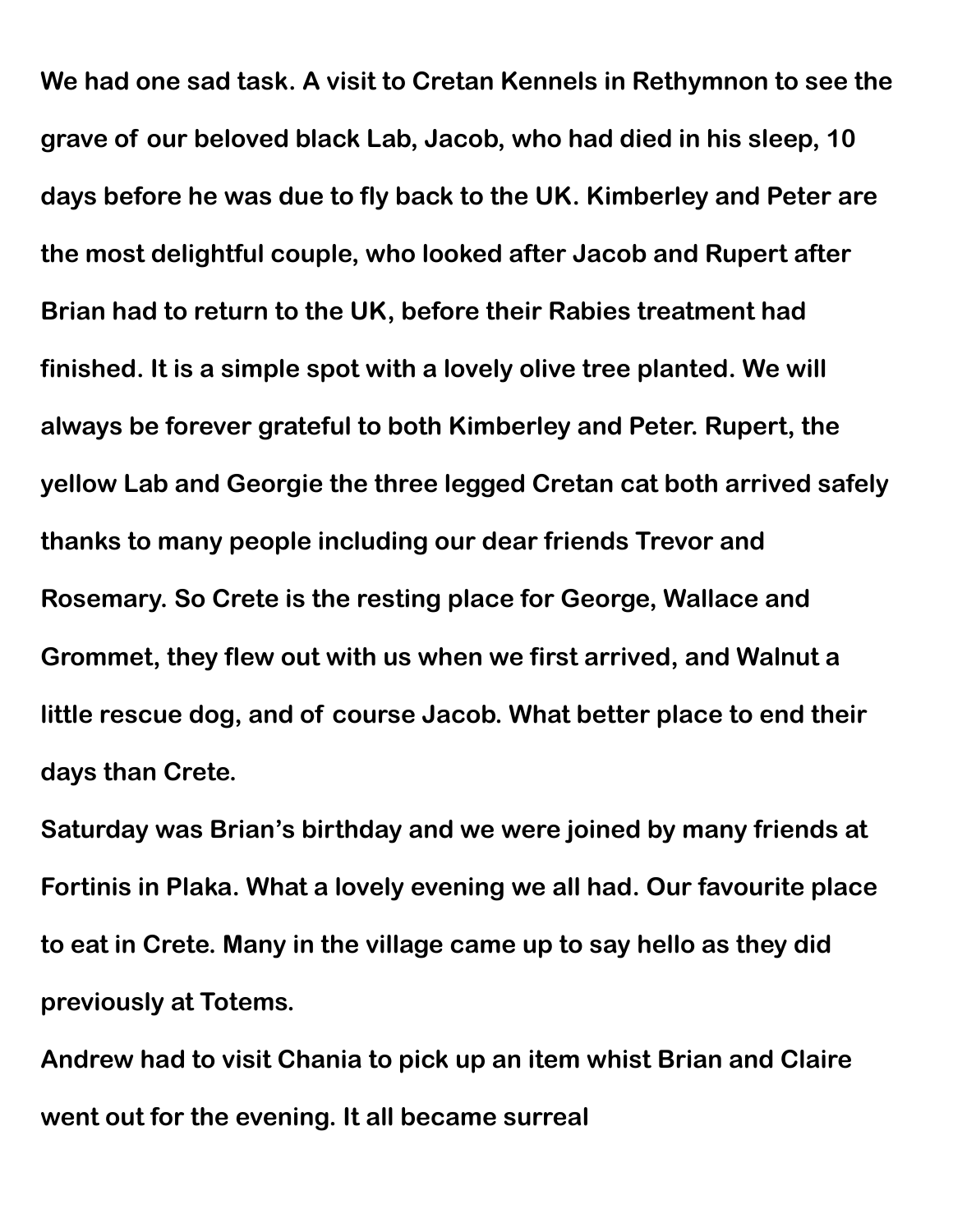**We had one sad task. A visit to Cretan Kennels in Rethymnon to see the grave of our beloved black Lab, Jacob, who had died in his sleep, 10 days before he was due to fly back to the UK. Kimberley and Peter are the most delightful couple, who looked after Jacob and Rupert after Brian had to return to the UK, before their Rabies treatment had finished. It is a simple spot with a lovely olive tree planted. We will always be forever grateful to both Kimberley and Peter. Rupert, the yellow Lab and Georgie the three legged Cretan cat both arrived safely thanks to many people including our dear friends Trevor and Rosemary. So Crete is the resting place for George, Wallace and Grommet, they flew out with us when we first arrived, and Walnut a little rescue dog, and of course Jacob. What better place to end their days than Crete.**

**Saturday was Brian's birthday and we were joined by many friends at Fortinis in Plaka. What a lovely evening we all had. Our favourite place to eat in Crete. Many in the village came up to say hello as they did previously at Totems.**

**Andrew had to visit Chania to pick up an item whist Brian and Claire went out for the evening. It all became surreal**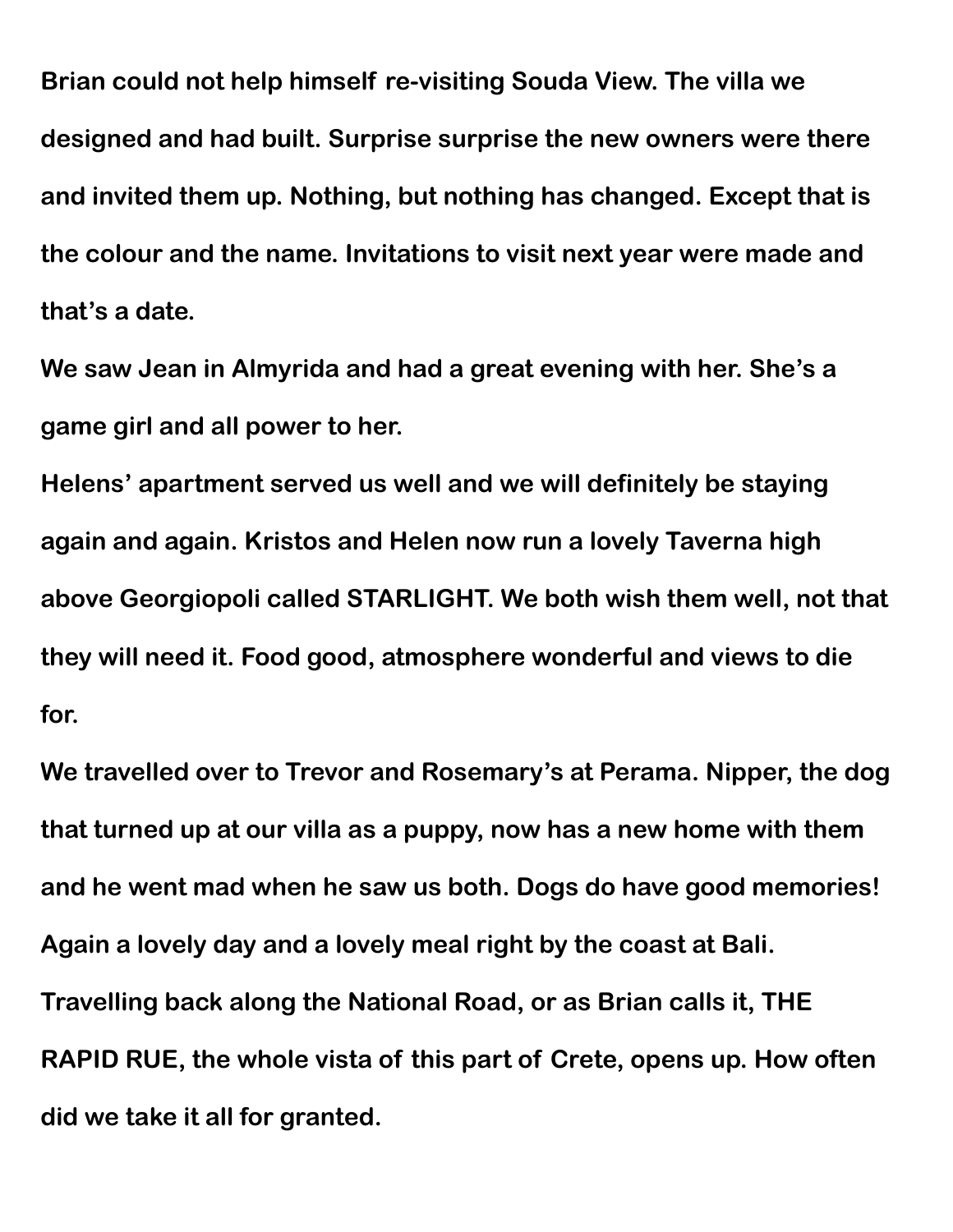**Brian could not help himself re-visiting Souda View. The villa we designed and had built. Surprise surprise the new owners were there and invited them up. Nothing, but nothing has changed. Except that is the colour and the name. Invitations to visit next year were made and that's a date.**

**We saw Jean in Almyrida and had a great evening with her. She's a game girl and all power to her.**

**Helens' apartment served us well and we will definitely be staying again and again. Kristos and Helen now run a lovely Taverna high above Georgiopoli called STARLIGHT. We both wish them well, not that they will need it. Food good, atmosphere wonderful and views to die for.**

**We travelled over to Trevor and Rosemary's at Perama. Nipper, the dog that turned up at our villa as a puppy, now has a new home with them and he went mad when he saw us both. Dogs do have good memories! Again a lovely day and a lovely meal right by the coast at Bali. Travelling back along the National Road, or as Brian calls it, THE RAPID RUE, the whole vista of this part of Crete, opens up. How often did we take it all for granted.**